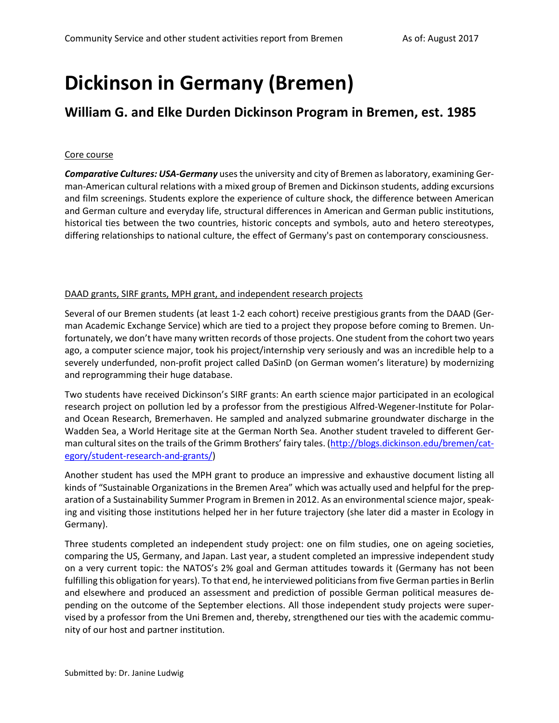# **Dickinson in Germany (Bremen)**

# **William G. and Elke Durden Dickinson Program in Bremen, est. 1985**

## Core course

*Comparative Cultures: USA-Germany* uses the university and city of Bremen as laboratory, examining German-American cultural relations with a mixed group of Bremen and Dickinson students, adding excursions and film screenings. Students explore the experience of culture shock, the difference between American and German culture and everyday life, structural differences in American and German public institutions, historical ties between the two countries, historic concepts and symbols, auto and hetero stereotypes, differing relationships to national culture, the effect of Germany's past on contemporary consciousness.

# DAAD grants, SIRF grants, MPH grant, and independent research projects

Several of our Bremen students (at least 1-2 each cohort) receive prestigious grants from the DAAD (German Academic Exchange Service) which are tied to a project they propose before coming to Bremen. Unfortunately, we don't have many written records of those projects. One student from the cohort two years ago, a computer science major, took his project/internship very seriously and was an incredible help to a severely underfunded, non-profit project called DaSinD (on German women's literature) by modernizing and reprogramming their huge database.

Two students have received Dickinson's SIRF grants: An earth science major participated in an ecological research project on pollution led by a professor from the prestigious Alfred-Wegener-Institute for Polarand Ocean Research, Bremerhaven. He sampled and analyzed submarine groundwater discharge in the Wadden Sea, a World Heritage site at the German North Sea. Another student traveled to different German cultural sites on the trails of the Grimm Brothers' fairy tales. ([http://blogs.dickinson.edu/bremen/cat](http://blogs.dickinson.edu/bremen/category/student-research-and-grants/)[egory/student-research-and-grants/\)](http://blogs.dickinson.edu/bremen/category/student-research-and-grants/)

Another student has used the MPH grant to produce an impressive and exhaustive document listing all kinds of "Sustainable Organizations in the Bremen Area" which was actually used and helpful for the preparation of a Sustainability Summer Program in Bremen in 2012. As an environmental science major, speaking and visiting those institutions helped her in her future trajectory (she later did a master in Ecology in Germany).

Three students completed an independent study project: one on film studies, one on ageing societies, comparing the US, Germany, and Japan. Last year, a student completed an impressive independent study on a very current topic: the NATOS's 2% goal and German attitudes towards it (Germany has not been fulfilling this obligation for years). To that end, he interviewed politicians from five German parties in Berlin and elsewhere and produced an assessment and prediction of possible German political measures depending on the outcome of the September elections. All those independent study projects were supervised by a professor from the Uni Bremen and, thereby, strengthened our ties with the academic community of our host and partner institution.